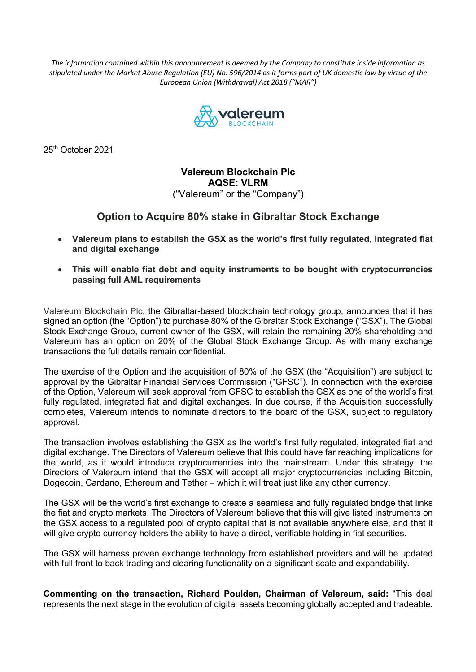*The information contained within this announcement is deemed by the Company to constitute inside information as stipulated under the Market Abuse Regulation (EU) No. 596/2014 as it forms part of UK domestic law by virtue of the European Union (Withdrawal) Act 2018 ("MAR")*



25<sup>th</sup> October 2021

**Valereum Blockchain Plc AQSE: VLRM** ("Valereum" or the "Company")

## **Option to Acquire 80% stake in Gibraltar Stock Exchange**

- **Valereum plans to establish the GSX as the world's first fully regulated, integrated fiat and digital exchange**
- **This will enable fiat debt and equity instruments to be bought with cryptocurrencies passing full AML requirements**

Valereum Blockchain Plc, the Gibraltar-based blockchain technology group, announces that it has signed an option (the "Option") to purchase 80% of the Gibraltar Stock Exchange ("GSX"). The Global Stock Exchange Group, current owner of the GSX, will retain the remaining 20% shareholding and Valereum has an option on 20% of the Global Stock Exchange Group. As with many exchange transactions the full details remain confidential.

The exercise of the Option and the acquisition of 80% of the GSX (the "Acquisition") are subject to approval by the Gibraltar Financial Services Commission ("GFSC"). In connection with the exercise of the Option, Valereum will seek approval from GFSC to establish the GSX as one of the world's first fully regulated, integrated fiat and digital exchanges. In due course, if the Acquisition successfully completes, Valereum intends to nominate directors to the board of the GSX, subject to regulatory approval.

The transaction involves establishing the GSX as the world's first fully regulated, integrated fiat and digital exchange. The Directors of Valereum believe that this could have far reaching implications for the world, as it would introduce cryptocurrencies into the mainstream. Under this strategy, the Directors of Valereum intend that the GSX will accept all major cryptocurrencies including Bitcoin, Dogecoin, Cardano, Ethereum and Tether – which it will treat just like any other currency.

The GSX will be the world's first exchange to create a seamless and fully regulated bridge that links the fiat and crypto markets. The Directors of Valereum believe that this will give listed instruments on the GSX access to a regulated pool of crypto capital that is not available anywhere else, and that it will give crypto currency holders the ability to have a direct, verifiable holding in fiat securities.

The GSX will harness proven exchange technology from established providers and will be updated with full front to back trading and clearing functionality on a significant scale and expandability.

**Commenting on the transaction, Richard Poulden, Chairman of Valereum, said:** "This deal represents the next stage in the evolution of digital assets becoming globally accepted and tradeable.